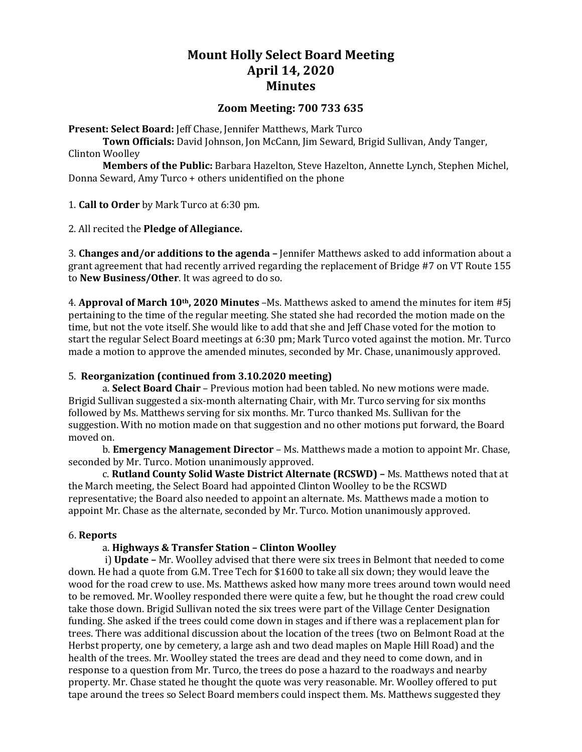# **Mount Holly Select Board Meeting April 14, 2020 Minutes**

# **Zoom Meeting: 700 733 635**

**Present: Select Board:** Jeff Chase, Jennifer Matthews, Mark Turco

**Town Officials:** David Johnson, Jon McCann, Jim Seward, Brigid Sullivan, Andy Tanger, Clinton Woolley

**Members of the Public:** Barbara Hazelton, Steve Hazelton, Annette Lynch, Stephen Michel, Donna Seward, Amy Turco + others unidentified on the phone

1. **Call to Order** by Mark Turco at 6:30 pm.

2. All recited the **Pledge of Allegiance.**

3. **Changes and/or additions to the agenda –** Jennifer Matthews asked to add information about a grant agreement that had recently arrived regarding the replacement of Bridge #7 on VT Route 155 to **New Business/Other**. It was agreed to do so.

4. **Approval of March 10th, 2020 Minutes** –Ms. Matthews asked to amend the minutes for item #5j pertaining to the time of the regular meeting. She stated she had recorded the motion made on the time, but not the vote itself. She would like to add that she and Jeff Chase voted for the motion to start the regular Select Board meetings at 6:30 pm; Mark Turco voted against the motion. Mr. Turco made a motion to approve the amended minutes, seconded by Mr. Chase, unanimously approved.

### 5. **Reorganization (continued from 3.10.2020 meeting)**

a. **Select Board Chair** – Previous motion had been tabled. No new motions were made. Brigid Sullivan suggested a six-month alternating Chair, with Mr. Turco serving for six months followed by Ms. Matthews serving for six months. Mr. Turco thanked Ms. Sullivan for the suggestion. With no motion made on that suggestion and no other motions put forward, the Board moved on.

b. **Emergency Management Director** – Ms. Matthews made a motion to appoint Mr. Chase, seconded by Mr. Turco. Motion unanimously approved.

c. **Rutland County Solid Waste District Alternate (RCSWD) –** Ms. Matthews noted that at the March meeting, the Select Board had appointed Clinton Woolley to be the RCSWD representative; the Board also needed to appoint an alternate. Ms. Matthews made a motion to appoint Mr. Chase as the alternate, seconded by Mr. Turco. Motion unanimously approved.

### 6. **Reports**

### a. **Highways & Transfer Station – Clinton Woolley**

i) **Update –** Mr. Woolley advised that there were six trees in Belmont that needed to come down. He had a quote from G.M. Tree Tech for \$1600 to take all six down; they would leave the wood for the road crew to use. Ms. Matthews asked how many more trees around town would need to be removed. Mr. Woolley responded there were quite a few, but he thought the road crew could take those down. Brigid Sullivan noted the six trees were part of the Village Center Designation funding. She asked if the trees could come down in stages and if there was a replacement plan for trees. There was additional discussion about the location of the trees (two on Belmont Road at the Herbst property, one by cemetery, a large ash and two dead maples on Maple Hill Road) and the health of the trees. Mr. Woolley stated the trees are dead and they need to come down, and in response to a question from Mr. Turco, the trees do pose a hazard to the roadways and nearby property. Mr. Chase stated he thought the quote was very reasonable. Mr. Woolley offered to put tape around the trees so Select Board members could inspect them. Ms. Matthews suggested they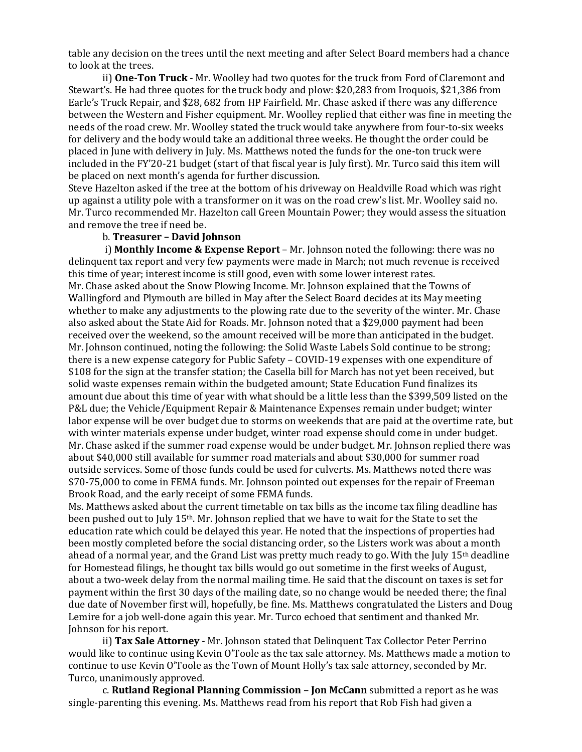table any decision on the trees until the next meeting and after Select Board members had a chance to look at the trees.

ii) **One-Ton Truck** - Mr. Woolley had two quotes for the truck from Ford of Claremont and Stewart's. He had three quotes for the truck body and plow: \$20,283 from Iroquois, \$21,386 from Earle's Truck Repair, and \$28, 682 from HP Fairfield. Mr. Chase asked if there was any difference between the Western and Fisher equipment. Mr. Woolley replied that either was fine in meeting the needs of the road crew. Mr. Woolley stated the truck would take anywhere from four-to-six weeks for delivery and the body would take an additional three weeks. He thought the order could be placed in June with delivery in July. Ms. Matthews noted the funds for the one-ton truck were included in the FY'20-21 budget (start of that fiscal year is July first). Mr. Turco said this item will be placed on next month's agenda for further discussion.

Steve Hazelton asked if the tree at the bottom of his driveway on Healdville Road which was right up against a utility pole with a transformer on it was on the road crew's list. Mr. Woolley said no. Mr. Turco recommended Mr. Hazelton call Green Mountain Power; they would assess the situation and remove the tree if need be.

## b. **Treasurer – David Johnson**

i) **Monthly Income & Expense Report** – Mr. Johnson noted the following: there was no delinquent tax report and very few payments were made in March; not much revenue is received this time of year; interest income is still good, even with some lower interest rates. Mr. Chase asked about the Snow Plowing Income. Mr. Johnson explained that the Towns of Wallingford and Plymouth are billed in May after the Select Board decides at its May meeting whether to make any adjustments to the plowing rate due to the severity of the winter. Mr. Chase also asked about the State Aid for Roads. Mr. Johnson noted that a \$29,000 payment had been received over the weekend, so the amount received will be more than anticipated in the budget. Mr. Johnson continued, noting the following: the Solid Waste Labels Sold continue to be strong; there is a new expense category for Public Safety – COVID-19 expenses with one expenditure of \$108 for the sign at the transfer station; the Casella bill for March has not yet been received, but solid waste expenses remain within the budgeted amount; State Education Fund finalizes its amount due about this time of year with what should be a little less than the \$399,509 listed on the P&L due; the Vehicle/Equipment Repair & Maintenance Expenses remain under budget; winter labor expense will be over budget due to storms on weekends that are paid at the overtime rate, but with winter materials expense under budget, winter road expense should come in under budget. Mr. Chase asked if the summer road expense would be under budget. Mr. Johnson replied there was about \$40,000 still available for summer road materials and about \$30,000 for summer road outside services. Some of those funds could be used for culverts. Ms. Matthews noted there was \$70-75,000 to come in FEMA funds. Mr. Johnson pointed out expenses for the repair of Freeman Brook Road, and the early receipt of some FEMA funds.

Ms. Matthews asked about the current timetable on tax bills as the income tax filing deadline has been pushed out to July 15th. Mr. Johnson replied that we have to wait for the State to set the education rate which could be delayed this year. He noted that the inspections of properties had been mostly completed before the social distancing order, so the Listers work was about a month ahead of a normal year, and the Grand List was pretty much ready to go. With the July 15th deadline for Homestead filings, he thought tax bills would go out sometime in the first weeks of August, about a two-week delay from the normal mailing time. He said that the discount on taxes is set for payment within the first 30 days of the mailing date, so no change would be needed there; the final due date of November first will, hopefully, be fine. Ms. Matthews congratulated the Listers and Doug Lemire for a job well-done again this year. Mr. Turco echoed that sentiment and thanked Mr. Johnson for his report.

ii) **Tax Sale Attorney** - Mr. Johnson stated that Delinquent Tax Collector Peter Perrino would like to continue using Kevin O'Toole as the tax sale attorney. Ms. Matthews made a motion to continue to use Kevin O'Toole as the Town of Mount Holly's tax sale attorney, seconded by Mr. Turco, unanimously approved.

c. **Rutland Regional Planning Commission** – **Jon McCann** submitted a report as he was single-parenting this evening. Ms. Matthews read from his report that Rob Fish had given a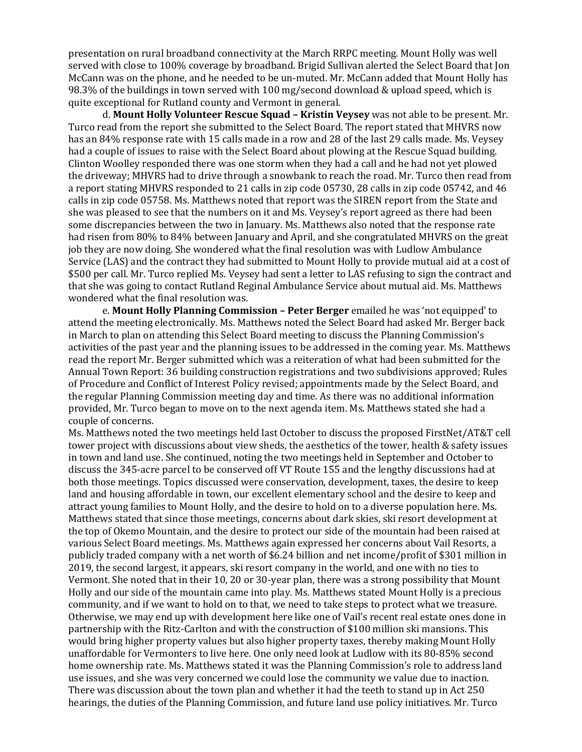presentation on rural broadband connectivity at the March RRPC meeting. Mount Holly was well served with close to 100% coverage by broadband. Brigid Sullivan alerted the Select Board that Jon McCann was on the phone, and he needed to be un-muted. Mr. McCann added that Mount Holly has 98.3% of the buildings in town served with 100 mg/second download & upload speed, which is quite exceptional for Rutland county and Vermont in general.

d. **Mount Holly Volunteer Rescue Squad – Kristin Veysey** was not able to be present. Mr. Turco read from the report she submitted to the Select Board. The report stated that MHVRS now has an 84% response rate with 15 calls made in a row and 28 of the last 29 calls made. Ms. Veysey had a couple of issues to raise with the Select Board about plowing at the Rescue Squad building. Clinton Woolley responded there was one storm when they had a call and he had not yet plowed the driveway; MHVRS had to drive through a snowbank to reach the road. Mr. Turco then read from a report stating MHVRS responded to 21 calls in zip code 05730, 28 calls in zip code 05742, and 46 calls in zip code 05758. Ms. Matthews noted that report was the SIREN report from the State and she was pleased to see that the numbers on it and Ms. Veysey's report agreed as there had been some discrepancies between the two in January. Ms. Matthews also noted that the response rate had risen from 80% to 84% between January and April, and she congratulated MHVRS on the great job they are now doing. She wondered what the final resolution was with Ludlow Ambulance Service (LAS) and the contract they had submitted to Mount Holly to provide mutual aid at a cost of \$500 per call. Mr. Turco replied Ms. Veysey had sent a letter to LAS refusing to sign the contract and that she was going to contact Rutland Reginal Ambulance Service about mutual aid. Ms. Matthews wondered what the final resolution was.

e. **Mount Holly Planning Commission – Peter Berger** emailed he was 'not equipped' to attend the meeting electronically. Ms. Matthews noted the Select Board had asked Mr. Berger back in March to plan on attending this Select Board meeting to discuss the Planning Commission's activities of the past year and the planning issues to be addressed in the coming year. Ms. Matthews read the report Mr. Berger submitted which was a reiteration of what had been submitted for the Annual Town Report: 36 building construction registrations and two subdivisions approved; Rules of Procedure and Conflict of Interest Policy revised; appointments made by the Select Board, and the regular Planning Commission meeting day and time. As there was no additional information provided, Mr. Turco began to move on to the next agenda item. Ms. Matthews stated she had a couple of concerns.

Ms. Matthews noted the two meetings held last October to discuss the proposed FirstNet/AT&T cell tower project with discussions about view sheds, the aesthetics of the tower, health & safety issues in town and land use. She continued, noting the two meetings held in September and October to discuss the 345-acre parcel to be conserved off VT Route 155 and the lengthy discussions had at both those meetings. Topics discussed were conservation, development, taxes, the desire to keep land and housing affordable in town, our excellent elementary school and the desire to keep and attract young families to Mount Holly, and the desire to hold on to a diverse population here. Ms. Matthews stated that since those meetings, concerns about dark skies, ski resort development at the top of Okemo Mountain, and the desire to protect our side of the mountain had been raised at various Select Board meetings. Ms. Matthews again expressed her concerns about Vail Resorts, a publicly traded company with a net worth of \$6.24 billion and net income/profit of \$301 million in 2019, the second largest, it appears, ski resort company in the world, and one with no ties to Vermont. She noted that in their 10, 20 or 30-year plan, there was a strong possibility that Mount Holly and our side of the mountain came into play. Ms. Matthews stated Mount Holly is a precious community, and if we want to hold on to that, we need to take steps to protect what we treasure. Otherwise, we may end up with development here like one of Vail's recent real estate ones done in partnership with the Ritz-Carlton and with the construction of \$100 million ski mansions. This would bring higher property values but also higher property taxes, thereby making Mount Holly unaffordable for Vermonters to live here. One only need look at Ludlow with its 80-85% second home ownership rate. Ms. Matthews stated it was the Planning Commission's role to address land use issues, and she was very concerned we could lose the community we value due to inaction. There was discussion about the town plan and whether it had the teeth to stand up in Act 250 hearings, the duties of the Planning Commission, and future land use policy initiatives. Mr. Turco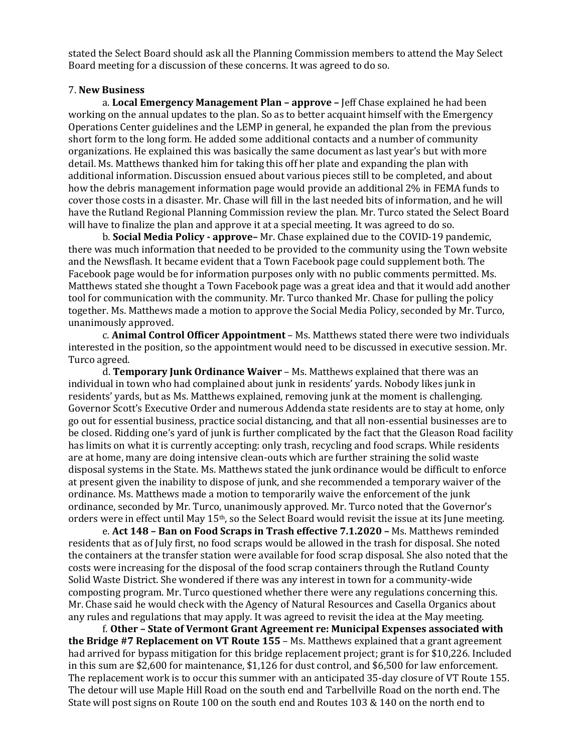stated the Select Board should ask all the Planning Commission members to attend the May Select Board meeting for a discussion of these concerns. It was agreed to do so.

#### 7. **New Business**

a. **Local Emergency Management Plan – approve –** Jeff Chase explained he had been working on the annual updates to the plan. So as to better acquaint himself with the Emergency Operations Center guidelines and the LEMP in general, he expanded the plan from the previous short form to the long form. He added some additional contacts and a number of community organizations. He explained this was basically the same document as last year's but with more detail. Ms. Matthews thanked him for taking this off her plate and expanding the plan with additional information. Discussion ensued about various pieces still to be completed, and about how the debris management information page would provide an additional 2% in FEMA funds to cover those costs in a disaster. Mr. Chase will fill in the last needed bits of information, and he will have the Rutland Regional Planning Commission review the plan. Mr. Turco stated the Select Board will have to finalize the plan and approve it at a special meeting. It was agreed to do so.

b. **Social Media Policy - approve–** Mr. Chase explained due to the COVID-19 pandemic, there was much information that needed to be provided to the community using the Town website and the Newsflash. It became evident that a Town Facebook page could supplement both. The Facebook page would be for information purposes only with no public comments permitted. Ms. Matthews stated she thought a Town Facebook page was a great idea and that it would add another tool for communication with the community. Mr. Turco thanked Mr. Chase for pulling the policy together. Ms. Matthews made a motion to approve the Social Media Policy, seconded by Mr. Turco, unanimously approved.

c. **Animal Control Officer Appointment** – Ms. Matthews stated there were two individuals interested in the position, so the appointment would need to be discussed in executive session. Mr. Turco agreed.

d. **Temporary Junk Ordinance Waiver** – Ms. Matthews explained that there was an individual in town who had complained about junk in residents' yards. Nobody likes junk in residents' yards, but as Ms. Matthews explained, removing junk at the moment is challenging. Governor Scott's Executive Order and numerous Addenda state residents are to stay at home, only go out for essential business, practice social distancing, and that all non-essential businesses are to be closed. Ridding one's yard of junk is further complicated by the fact that the Gleason Road facility has limits on what it is currently accepting: only trash, recycling and food scraps. While residents are at home, many are doing intensive clean-outs which are further straining the solid waste disposal systems in the State. Ms. Matthews stated the junk ordinance would be difficult to enforce at present given the inability to dispose of junk, and she recommended a temporary waiver of the ordinance. Ms. Matthews made a motion to temporarily waive the enforcement of the junk ordinance, seconded by Mr. Turco, unanimously approved. Mr. Turco noted that the Governor's orders were in effect until May 15<sup>th</sup>, so the Select Board would revisit the issue at its June meeting.

e. **Act 148 – Ban on Food Scraps in Trash effective 7.1.2020 –** Ms. Matthews reminded residents that as of July first, no food scraps would be allowed in the trash for disposal. She noted the containers at the transfer station were available for food scrap disposal. She also noted that the costs were increasing for the disposal of the food scrap containers through the Rutland County Solid Waste District. She wondered if there was any interest in town for a community-wide composting program. Mr. Turco questioned whether there were any regulations concerning this. Mr. Chase said he would check with the Agency of Natural Resources and Casella Organics about any rules and regulations that may apply. It was agreed to revisit the idea at the May meeting.

f. **Other – State of Vermont Grant Agreement re: Municipal Expenses associated with the Bridge #7 Replacement on VT Route 155** – Ms. Matthews explained that a grant agreement had arrived for bypass mitigation for this bridge replacement project; grant is for \$10,226. Included in this sum are \$2,600 for maintenance, \$1,126 for dust control, and \$6,500 for law enforcement. The replacement work is to occur this summer with an anticipated 35-day closure of VT Route 155. The detour will use Maple Hill Road on the south end and Tarbellville Road on the north end. The State will post signs on Route 100 on the south end and Routes 103 & 140 on the north end to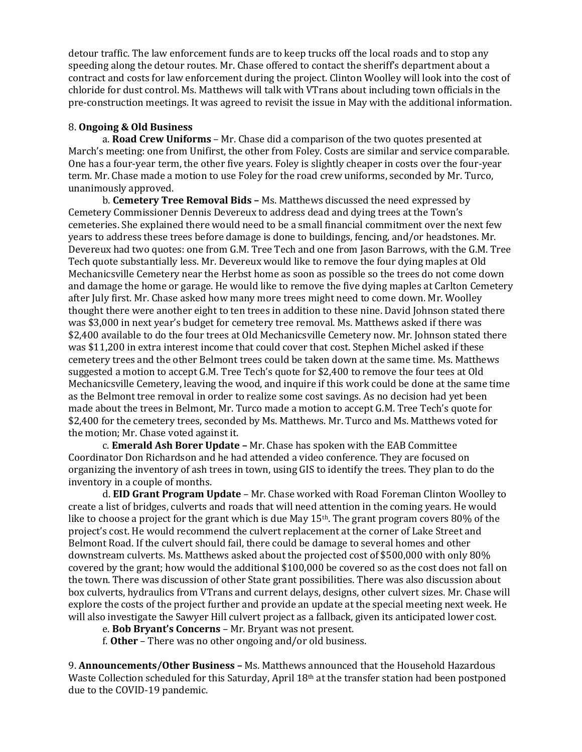detour traffic. The law enforcement funds are to keep trucks off the local roads and to stop any speeding along the detour routes. Mr. Chase offered to contact the sheriff's department about a contract and costs for law enforcement during the project. Clinton Woolley will look into the cost of chloride for dust control. Ms. Matthews will talk with VTrans about including town officials in the pre-construction meetings. It was agreed to revisit the issue in May with the additional information.

## 8. **Ongoing & Old Business**

a. **Road Crew Uniforms** – Mr. Chase did a comparison of the two quotes presented at March's meeting: one from Unifirst, the other from Foley. Costs are similar and service comparable. One has a four-year term, the other five years. Foley is slightly cheaper in costs over the four-year term. Mr. Chase made a motion to use Foley for the road crew uniforms, seconded by Mr. Turco, unanimously approved.

b. **Cemetery Tree Removal Bids –** Ms. Matthews discussed the need expressed by Cemetery Commissioner Dennis Devereux to address dead and dying trees at the Town's cemeteries. She explained there would need to be a small financial commitment over the next few years to address these trees before damage is done to buildings, fencing, and/or headstones. Mr. Devereux had two quotes: one from G.M. Tree Tech and one from Jason Barrows, with the G.M. Tree Tech quote substantially less. Mr. Devereux would like to remove the four dying maples at Old Mechanicsville Cemetery near the Herbst home as soon as possible so the trees do not come down and damage the home or garage. He would like to remove the five dying maples at Carlton Cemetery after July first. Mr. Chase asked how many more trees might need to come down. Mr. Woolley thought there were another eight to ten trees in addition to these nine. David Johnson stated there was \$3,000 in next year's budget for cemetery tree removal. Ms. Matthews asked if there was \$2,400 available to do the four trees at Old Mechanicsville Cemetery now. Mr. Johnson stated there was \$11,200 in extra interest income that could cover that cost. Stephen Michel asked if these cemetery trees and the other Belmont trees could be taken down at the same time. Ms. Matthews suggested a motion to accept G.M. Tree Tech's quote for \$2,400 to remove the four tees at Old Mechanicsville Cemetery, leaving the wood, and inquire if this work could be done at the same time as the Belmont tree removal in order to realize some cost savings. As no decision had yet been made about the trees in Belmont, Mr. Turco made a motion to accept G.M. Tree Tech's quote for \$2,400 for the cemetery trees, seconded by Ms. Matthews. Mr. Turco and Ms. Matthews voted for the motion; Mr. Chase voted against it.

c. **Emerald Ash Borer Update –** Mr. Chase has spoken with the EAB Committee Coordinator Don Richardson and he had attended a video conference. They are focused on organizing the inventory of ash trees in town, using GIS to identify the trees. They plan to do the inventory in a couple of months.

d. **EID Grant Program Update** – Mr. Chase worked with Road Foreman Clinton Woolley to create a list of bridges, culverts and roads that will need attention in the coming years. He would like to choose a project for the grant which is due May  $15<sup>th</sup>$ . The grant program covers 80% of the project's cost. He would recommend the culvert replacement at the corner of Lake Street and Belmont Road. If the culvert should fail, there could be damage to several homes and other downstream culverts. Ms. Matthews asked about the projected cost of \$500,000 with only 80% covered by the grant; how would the additional \$100,000 be covered so as the cost does not fall on the town. There was discussion of other State grant possibilities. There was also discussion about box culverts, hydraulics from VTrans and current delays, designs, other culvert sizes. Mr. Chase will explore the costs of the project further and provide an update at the special meeting next week. He will also investigate the Sawyer Hill culvert project as a fallback, given its anticipated lower cost.

e. **Bob Bryant's Concerns** – Mr. Bryant was not present.

f. **Other** – There was no other ongoing and/or old business.

9. **Announcements/Other Business –** Ms. Matthews announced that the Household Hazardous Waste Collection scheduled for this Saturday, April 18th at the transfer station had been postponed due to the COVID-19 pandemic.